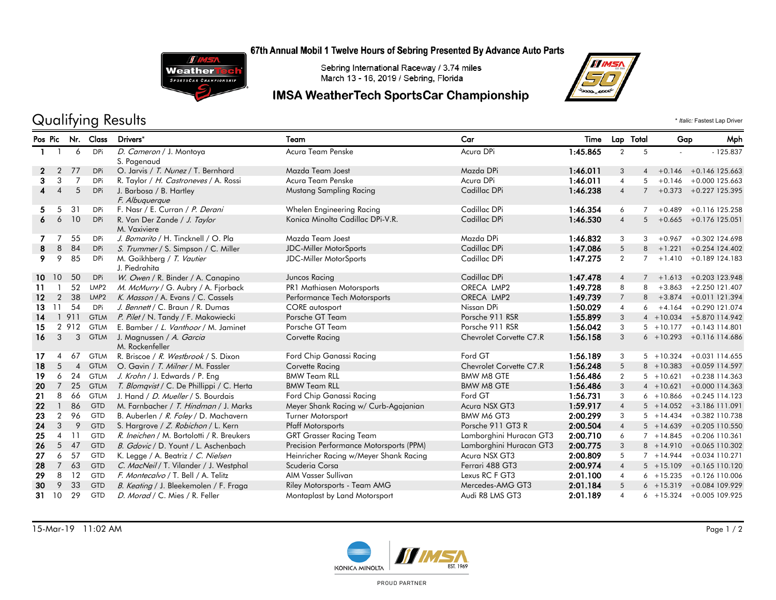### 67th Annual Mobil 1 Twelve Hours of Sebring Presented By Advance Auto Parts



Sebring International Raceway / 3.74 miles March 13 - 16, 2019 / Sebring, Florida

## **IMSA WeatherTech SportsCar Championship**



# Qualifying Results \* *Italic:* Fastest Lap Driver

| Pos Pic           |                          |                | Nr. Class        | Drivers*                                     | Team                                    | Car                     | Time     |                | Lap Total      | Gap          | Mph                         |
|-------------------|--------------------------|----------------|------------------|----------------------------------------------|-----------------------------------------|-------------------------|----------|----------------|----------------|--------------|-----------------------------|
| $\mathbf{1}$      |                          | 6              | DPi              | D. Cameron / J. Montoya<br>S. Pagenaud       | Acura Team Penske                       | Acura DPi               | 1:45.865 | $\overline{2}$ | 5              |              | $-125.837$                  |
| $\mathbf{2}$      | 2                        | 77             | <b>DPi</b>       | O. Jarvis / T. Nunez / T. Bernhard           | Mazda Team Joest                        | Mazda DPi               | 1:46.011 | 3              | 4              |              | $+0.146 + 0.146$ 125.663    |
| 3                 | 3                        | $\overline{7}$ | <b>DPi</b>       | R. Taylor / H. Castroneves / A. Rossi        | Acura Team Penske                       | Acura DPi               | 1:46.011 | $\overline{4}$ | 5              | $+0.146$     | $+0.000$ 125.663            |
| 4                 | $\boldsymbol{\varDelta}$ | 5              | DPi              | J. Barbosa / B. Hartley<br>F. Albuquerque    | Mustang Sampling Racing                 | Cadillac DPi            | 1:46.238 | $\overline{4}$ | $\overline{7}$ |              | $+0.373 +0.227$ 125.395     |
| 5                 | 5                        | 31             | DPi              | F. Nasr / E. Curran / P. Derani              | Whelen Engineering Racing               | Cadillac DPi            | 1:46.354 | 6              | $\overline{7}$ | $+0.489$     | +0.116 125.258              |
| 6                 | 6                        | 10             | <b>DPi</b>       | R. Van Der Zande / J. Taylor<br>M. Vaxiviere | Konica Minolta Cadillac DPi-V.R.        | Cadillac DPi            | 1:46.530 | $\overline{4}$ | 5              | $+0.665$     | $+0.176$ 125.051            |
|                   |                          | 55             | DPi              | J. Bomarito / H. Tincknell / O. Pla          | Mazda Team Joest                        | Mazda DPi               | 1:46.832 | 3              | 3              | $+0.967$     | +0.302 124.698              |
| 8                 | 8                        | 84             | <b>DPi</b>       | S. Trummer / S. Simpson / C. Miller          | <b>JDC-Miller MotorSports</b>           | Cadillac DPi            | 1:47.086 | 5              | 8              | $+1.221$     | $+0.254$ 124.402            |
| 9                 | 9                        | 85             | DPi              | M. Goikhberg / T. Vautier<br>J. Piedrahita   | <b>JDC-Miller MotorSports</b>           | Cadillac DPi            | 1:47.275 | $\overline{2}$ | $\overline{7}$ | $+1.410$     | $+0.189$ 124.183            |
| 10.               | 10                       | 50             | <b>DPi</b>       | W. Owen / R. Binder / A. Canapino            | Juncos Racing                           | Cadillac DPi            | 1:47.478 | $\overline{4}$ |                | $7 + 1.613$  | $+0.203$ 123.948            |
| 11                |                          | 52             | LMP <sub>2</sub> | M. McMurry / G. Aubry / A. Fjorback          | PR1 Mathiasen Motorsports               | ORECA LMP2              | 1:49.728 | 8              | 8              | $+3.863$     | $+2.250$ 121.407            |
| $12 \overline{ }$ | $\overline{2}$           | 38             | LMP <sub>2</sub> | K. Masson / A. Evans / C. Cassels            | Performance Tech Motorsports            | ORECA LMP2              | 1:49.739 | $\overline{7}$ | 8              | $+3.874$     | $+0.011$ 121.394            |
| 13                | -11                      | 54             | DPi              | J. Bennett / C. Braun / R. Dumas             | CORE autosport                          | Nissan DPi              | 1:50.029 | $\overline{4}$ | 6              | $+4.164$     | +0.290 121.074              |
| 14                |                          | 1 9 1 1        | <b>GTLM</b>      | P. Pilet / N. Tandy / F. Makowiecki          | Porsche GT Team                         | Porsche 911 RSR         | 1:55.899 | 3              |                | $4 + 10.034$ | +5.870 114.942              |
| 15                |                          | 2 9 1 2        | <b>GTLM</b>      | E. Bamber / L. Vanthoor / M. Jaminet         | Porsche GT Team                         | Porsche 911 RSR         | 1:56.042 | 3              |                | $5 + 10.177$ | $+0.143$ 114.801            |
| 16                | 3                        | 3              | <b>GTLM</b>      | J. Magnussen / A. Garcia<br>M. Rockenfeller  | Corvette Racing                         | Chevrolet Corvette C7.R | 1:56.158 | 3              |                |              | $6 + 10.293 + 0.116114.686$ |
| 17                | Δ                        | 67             | <b>GTLM</b>      | R. Briscoe / R. Westbrook / S. Dixon         | Ford Chip Ganassi Racing                | Ford GT                 | 1:56.189 | 3              |                | $5 + 10.324$ | $+0.031$ 114.655            |
| 18                | 5                        | $\overline{4}$ | <b>GTLM</b>      | O. Gavin / T. Milner / M. Fassler            | Corvette Racing                         | Chevrolet Corvette C7.R | 1:56.248 | 5              |                | $8 + 10.383$ | +0.059 114.597              |
| 19                | 6                        | 24             | <b>GTLM</b>      | J. Krohn / J. Edwards / P. Eng               | <b>BMW Team RLL</b>                     | <b>BMW M8 GTE</b>       | 1:56.486 | $\overline{2}$ |                | $5 + 10.621$ | $+0.238$ 114.363            |
| 20                | $\overline{7}$           | 25             | <b>GTLM</b>      | T. Blomqvist / C. De Phillippi / C. Herta    | <b>BMW Team RLL</b>                     | <b>BMW M8 GTE</b>       | 1:56.486 | 3              |                | $4 + 10.621$ | +0.000 114.363              |
| 21                | 8                        | 66             | <b>GTLM</b>      | J. Hand / <i>D. Mueller</i> / S. Bourdais    | Ford Chip Ganassi Racing                | Ford GT                 | 1:56.731 | $\mathbf{3}$   |                | $6 + 10.866$ | $+0.245$ 114.123            |
| 22                | $\overline{1}$           | 86             | <b>GTD</b>       | M. Farnbacher / T. Hindman / J. Marks        | Meyer Shank Racing w/ Curb-Agajanian    | Acura NSX GT3           | 1:59.917 | $\overline{4}$ |                |              | $5 + 14.052 + 3.186111.091$ |
| 23                | $\overline{2}$           | 96             | <b>GTD</b>       | B. Auberlen / R. Foley / D. Machavern        | Turner Motorsport                       | BMW M6 GT3              | 2:00.299 | 3              |                | $5 + 14.434$ | +0.382 110.738              |
| 24                | 3                        | 9              | <b>GTD</b>       | S. Hargrove / Z. Robichon / L. Kern          | <b>Pfaff Motorsports</b>                | Porsche 911 GT3 R       | 2:00.504 | $\overline{4}$ |                | $5 + 14.639$ | +0.205 110.550              |
| 25                | $\overline{4}$           | 11             | GTD              | R. Ineichen / M. Bortolotti / R. Breukers    | <b>GRT Grasser Racing Team</b>          | Lamborghini Huracan GT3 | 2:00.710 | 6              |                | $7 + 14.845$ | $+0.206$ 110.361            |
| 26                | 5                        | 47             | <b>GTD</b>       | B. Gdovic / D. Yount / L. Aschenbach         | Precision Performance Motorsports (PPM) | Lamborghini Huracan GT3 | 2:00.775 | 3              |                |              | $8 + 14.910 + 0.065110.302$ |
| 27                | 6                        | 57             | <b>GTD</b>       | K. Legge / A. Beatriz / C. Nielsen           | Heinricher Racing w/Meyer Shank Racing  | Acura NSX GT3           | 2:00.809 | 5              |                | $7 + 14.944$ | $+0.034$ 110.271            |
| 28                | $\overline{7}$           | 63             | <b>GTD</b>       | C. MacNeil / T. Vilander / J. Westphal       | Scuderia Corsa                          | Ferrari 488 GT3         | 2:00.974 | $\overline{4}$ |                | $5 + 15.109$ | $+0.165$ 110.120            |
| 29                | 8                        | 12             | <b>GTD</b>       | F. Montecalvo / T. Bell / A. Telitz          | AIM Vasser Sullivan                     | Lexus RC F GT3          | 2:01.100 | $\overline{4}$ |                | $6 + 15.235$ | +0.126 110.006              |
| 30                | 9                        | 33             | <b>GTD</b>       | B. Keating / J. Bleekemolen / F. Fraga       | Riley Motorsports - Team AMG            | Mercedes-AMG GT3        | 2:01.184 | 5              |                |              | $6 + 15.319 + 0.084109.929$ |
| 31.               | 10                       | 29             | <b>GTD</b>       | D. Morad / C. Mies / R. Feller               | Montaplast by Land Motorsport           | Audi R8 LMS GT3         | 2:01.189 | $\overline{4}$ |                |              | $6 + 15.324 + 0.005109.925$ |



PROUD PARTNER